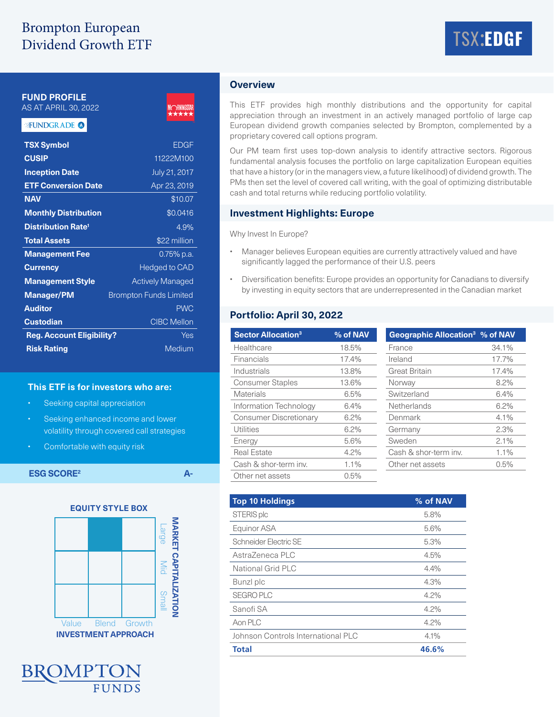# Brompton European Dividend Growth ETF



**FUND PROFILE**

# AS AT APRIL 30, 2022

### FUNDGRADE<sup>O</sup>



| <b>TSX Symbol</b>                    | <b>EDGF</b>                   |
|--------------------------------------|-------------------------------|
| <b>CUSIP</b>                         | 11222M100                     |
| <b>Inception Date</b>                | July 21, 2017                 |
| <b>ETF Conversion Date</b>           | Apr 23, 2019                  |
| <b>NAV</b>                           | \$10.07                       |
| <b>Monthly Distribution</b>          | \$0.0416                      |
| <b>Distribution Rate<sup>1</sup></b> | 4.9%                          |
| <b>Total Assets</b>                  | \$22 million                  |
| <b>Management Fee</b>                | $0.75\%$ p.a.                 |
| <b>Currency</b>                      | <b>Hedged to CAD</b>          |
| <b>Management Style</b>              | <b>Actively Managed</b>       |
| <b>Manager/PM</b>                    | <b>Brompton Funds Limited</b> |
| <b>Auditor</b>                       | <b>PWC</b>                    |
| <b>Custodian</b>                     | <b>CIBC Mellon</b>            |
| <b>Reg. Account Eligibility?</b>     | Yes                           |
| <b>Risk Rating</b>                   | Medium                        |
|                                      |                               |

#### **This ETF is for investors who are:**

- Seeking capital appreciation
- Seeking enhanced income and lower volatility through covered call strategies
- Comfortable with equity risk

**ESG SCORE<sup>2</sup> A-**





## **Overview**

This ETF provides high monthly distributions and the opportunity for capital appreciation through an investment in an actively managed portfolio of large cap European dividend growth companies selected by Brompton, complemented by a proprietary covered call options program.

Our PM team first uses top-down analysis to identify attractive sectors. Rigorous fundamental analysis focuses the portfolio on large capitalization European equities that have a history (or in the managers view, a future likelihood) of dividend growth. The PMs then set the level of covered call writing, with the goal of optimizing distributable cash and total returns while reducing portfolio volatility.

#### **Investment Highlights: Europe**

Why Invest In Europe?

- Manager believes European equities are currently attractively valued and have significantly lagged the performance of their U.S. peers
- Diversification benefits: Europe provides an opportunity for Canadians to diversify by investing in equity sectors that are underrepresented in the Canadian market

# **Portfolio: April 30, 2022**

| <b>Sector Allocation<sup>3</sup></b> | % of NAV | Geographic Allocation <sup>3</sup> % of NAV |         |
|--------------------------------------|----------|---------------------------------------------|---------|
| Healthcare                           | 18.5%    | France                                      | 34.1%   |
| Financials                           | 17.4%    | Ireland                                     | 17.7%   |
| Industrials                          | 13.8%    | <b>Great Britain</b>                        | 17.4%   |
| <b>Consumer Staples</b>              | 13.6%    | Norway                                      | 8.2%    |
| Materials                            | 6.5%     | Switzerland                                 | 6.4%    |
| Information Technology               | 6.4%     | Netherlands                                 | 6.2%    |
| <b>Consumer Discretionary</b>        | $6.2\%$  | Denmark                                     | 4.1%    |
| Utilities                            | 6.2%     | Germany                                     | 2.3%    |
| Energy                               | 5.6%     | Sweden                                      | 2.1%    |
| <b>Real Estate</b>                   | $4.2\%$  | Cash & shor-term inv.                       | $1.1\%$ |
| Cash & shor-term inv.                | 1.1%     | Other net assets                            | 0.5%    |
| Other net assets                     | 0.5%     |                                             |         |

| <b>Top 10 Holdings</b>             | % of NAV |
|------------------------------------|----------|
| STERIS plc                         | 5.8%     |
| Equinor ASA                        | 5.6%     |
| Schneider Electric SE              | 5.3%     |
| AstraZeneca PLC                    | 4.5%     |
| National Grid PLC                  | 4.4%     |
| Bunzl plc                          | 4.3%     |
| <b>SEGRO PLC</b>                   | 4.2%     |
| Sanofi SA                          | 4.2%     |
| Aon PLC                            | 4.2%     |
| Johnson Controls International PLC | 4.1%     |
| <b>Total</b>                       | 46.6%    |